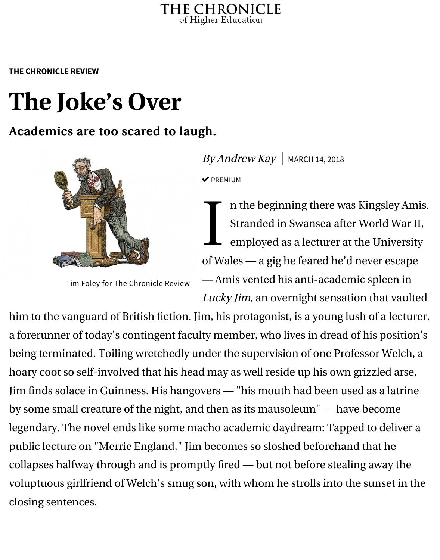## **The Joke's Ov[er](https://www.chronicle.com/)**

## Academics are too scared to laugh.



Tim Foley for The Chronicle Review

 $By Andrew$  Kay | MARCH 14, 2018  $\blacktriangledown$  PREMIUM

I n the beginning there was K Stranded in Swansea after W employed as a lecturer at the of Wales — a gig he feared he'd ne — Amis vented his anti-academic Lucky Jim, an overnight sensation

him to the vanguard of British fiction. Jim, his protagonist, is a young lush a forerunner of today's contingent faculty member, who lives in dread of h being terminated. Toiling wretchedly under the supervision of one Profess hoary coot so self-involved that his head may as well reside up his own gri Jim finds solace in Guinness. His hangovers - "his mouth had been used by some small creature of the night, and then as its mausoleum" — have b legendary. The novel ends like some macho academic daydream: Tapped public lecture on "Merrie England," Jim becomes so sloshed beforehand t collapses halfway through and is promptly fired — but not before stealing voluptuous girlfriend of Welch's smug son, with whom he strolls into the s closing sentences.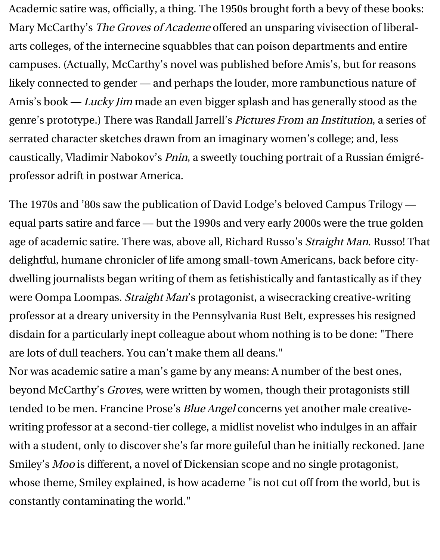Academic satire was, officially, a thing. The 1950s brought forth a bevy of these books: Mary McCarthy's The Groves of Academe offered an unsparing vivisection of liberalarts colleges, of the internecine squabbles that can poison departments and entire campuses. (Actually, McCarthy's novel was published before Amis's, but for reasons likely connected to gender — and perhaps the louder, more rambunctious nature of Amis's book - Lucky Jim made an even bigger splash and has generally stood as the genre's prototype.) There was Randall Jarrell's Pictures From an Institution, a series of serrated character sketches drawn from an imaginary women's college; and, less caustically, Vladimir Nabokov's Pnin, a sweetly touching portrait of a Russian émigréprofessor adrift in postwar America.

The 1970s and '80s saw the publication of David Lodge's beloved Campus Trilogy equal parts satire and farce — but the 1990s and very early 2000s were the true golden age of academic satire. There was, above all, Richard Russo's Straight Man. Russo! That delightful, humane chronicler of life among small-town Americans, back before citydwelling journalists began writing of them as fetishistically and fantastically as if they were Oompa Loompas. Straight Man's protagonist, a wisecracking creative-writing professor at a dreary university in the Pennsylvania Rust Belt, expresses his resigned disdain for a particularly inept colleague about whom nothing is to be done: "There are lots of dull teachers. You can't make them all deans."

Nor was academic satire a man's game by any means: A number of the best ones, beyond McCarthy's Groves, were written by women, though their protagonists still tended to be men. Francine Prose's Blue Angel concerns yet another male creativewriting professor at a second-tier college, a midlist novelist who indulges in an affair with a student, only to discover she's far more guileful than he initially reckoned. Jane Smiley's Moo is different, a novel of Dickensian scope and no single protagonist, whose theme, Smiley explained, is how academe "is not cut off from the world, but is constantly contaminating the world."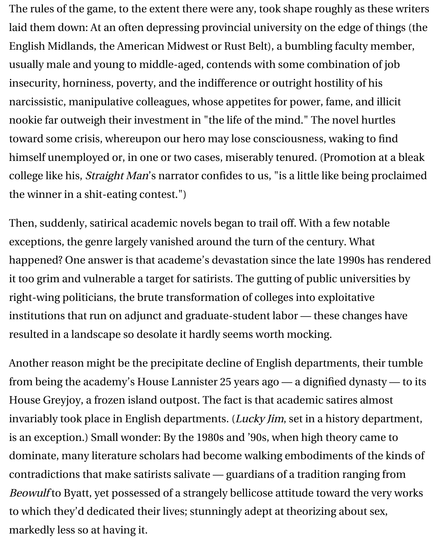The rules of the game, to the extent there were any, took shape roughly as these writers laid them down: At an often depressing provincial university on the edge of things (the English Midlands, the American Midwest or Rust Belt), a bumbling faculty member, usually male and young to middle-aged, contends with some combination of job insecurity, horniness, poverty, and the indifference or outright hostility of his narcissistic, manipulative colleagues, whose appetites for power, fame, and illicit nookie far outweigh their investment in "the life of the mind." The novel hurtles toward some crisis, whereupon our hero may lose consciousness, waking to find himself unemployed or, in one or two cases, miserably tenured. (Promotion at a bleak college like his, Straight Man's narrator confides to us, "is a little like being proclaimed the winner in a shit-eating contest.")

Then, suddenly, satirical academic novels began to trail off. With a few notable exceptions, the genre largely vanished around the turn of the century. What happened? One answer is that academe's devastation since the late 1990s has rendered it too grim and vulnerable a target for satirists. The gutting of public universities by right-wing politicians, the brute transformation of colleges into exploitative institutions that run on adjunct and graduate-student labor — these changes have resulted in a landscape so desolate it hardly seems worth mocking.

Another reason might be the precipitate decline of English departments, their tumble from being the academy's House Lannister 25 years ago — a dignified dynasty — to its House Greyjoy, a frozen island outpost. The fact is that academic satires almost invariably took place in English departments. (Lucky Jim, set in a history department, is an exception.) Small wonder: By the 1980s and '90s, when high theory came to dominate, many literature scholars had become walking embodiments of the kinds of contradictions that make satirists salivate — guardians of a tradition ranging from Beowulf to Byatt, yet possessed of a strangely bellicose attitude toward the very works to which they'd dedicated their lives; stunningly adept at theorizing about sex, markedly less so at having it.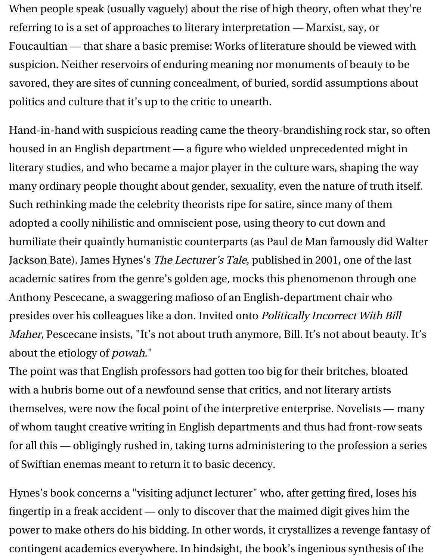savored, they are sites of cunning concealment, of buried, sordid assumptions about politics and culture that it's up to the critic to unearth.

Hand-in-hand with suspicious reading came the theory-brandishing rock housed in an English department - a figure who wielded unprecedented literary studies, and who became a major player in the culture wars, shapi many ordinary people thou[ght about gender, sexuality](https://www.chronicle.com/article/Whats-Wrong-With-Literary/238480), even the nature of Such rethinking made the celebrity theorists ripe for satire, since many of adopted a coolly nihilistic and omniscient pose, using theory to cut down humiliate their quaintly humanistic counterparts (as Paul de Man famous Jackson Bate). James Hynes's The Lecturer's Tale, published in 2001, one of academic satires from the genre's golden age, mocks this phenomenon th Anthony Pescecane, a swaggering mafioso of an English-department chair presides over his colleagues like a don. Invited onto Politically Incorrect V Maher, Pescecane insists, "It's not about truth anymore, Bill. It's not about about the etiology of powah."

The point was that English professors had gotten too big for their britches with a hubris borne out of a newfound sense that critics, and not literary a themselves, were now the focal point of the interpretive enterprise. Novel: of whom taught creative writing in English departments and thus had fror for all this — obligingly rushed in, taking turns administering to the profes of Swiftian enemas meant to return it to basic decency.

Hynes's book concerns a "visiting adjunct lecturer" who, after getting fired fingertip in a freak accident — only to discover that the maimed digit gives power to make others do his bidding. In other words, it crystallizes a rever contingent academics everywhere. In hindsight, the book's ingenious synthesis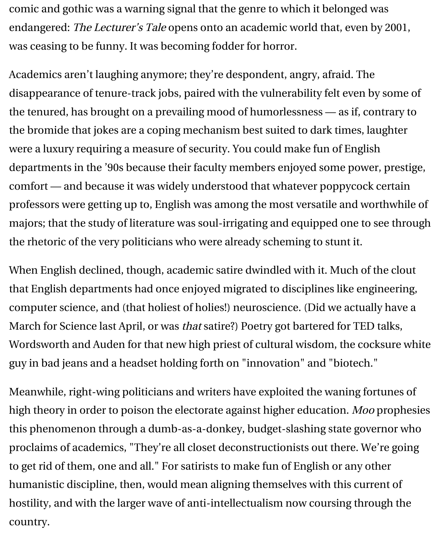comic and gothic was a warning signal that the genre to which it belonged was endangered: The Lecturer's Tale opens onto an academic world that, even by 2001, was ceasing to be funny. It was becoming fodder for horror.

Academics aren't laughing anymore; they're despondent, angry, afraid. The disappearance of tenure-track jobs, paired with the vulnerability felt even by some of the tenured, has brought on a prevailing mood of humorlessness — as if, contrary to the bromide that jokes are a coping mechanism best suited to dark times, laughter were a luxury requiring a measure of security. You could make fun of English departments in the '90s because their faculty members enjoyed some power, prestige, comfort — and because it was widely understood that whatever poppycock certain professors were getting up to, English was among the most versatile and worthwhile of majors; that the study of literature was soul-irrigating and equipped one to see through the rhetoric of the very politicians who were already scheming to stunt it.

When English declined, though, academic satire dwindled with it. Much of the clout that English departments had once enjoyed migrated to disciplines like engineering, computer science, and (that holiest of holies!) neuroscience. (Did we actually have a March for Science last April, or was that satire?) Poetry got bartered for TED talks, Wordsworth and Auden for that new high priest of cultural wisdom, the cocksure white guy in bad jeans and a headset holding forth on "innovation" and "biotech."

Meanwhile, right-wing politicians and writers have exploited the waning fortunes of high theory in order to poison the electorate against higher education. Moo prophesies this phenomenon through a dumb-as-a-donkey, budget-slashing state governor who proclaims of academics, "They're all closet deconstructionists out there. We're going to get rid of them, one and all." For satirists to make fun of English or any other humanistic discipline, then, would mean aligning themselves with this current of hostility, and with the larger wave of anti-intellectualism now coursing through the country.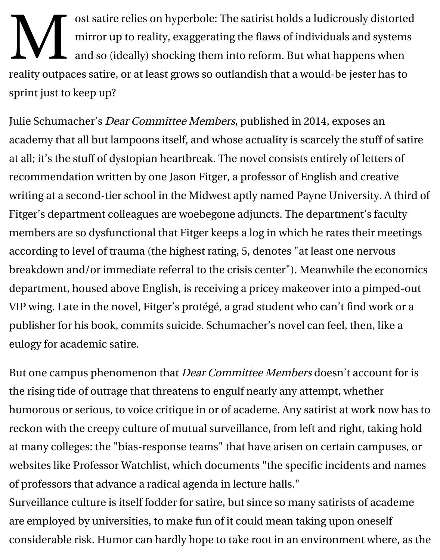sprint just to keep up?

Julie Schumacher's *Dear Committee Members*, published in 2014, expose academy that all but lampoons itself, and whose actuality is scarcely the stuff at all; it's the stuff of dystopian heartbreak. The novel consists entirely of letters recommendation written by one Jason Fitger, a professor of English and c writing at a second-tier school in the Midwest aptly named Payne Univers Fitger's department colleagues are woebegone adjuncts. The department' members are so dysfunctional that Fitger keeps a log in which he rates the according to level of trauma (the highest rating, [5, den](https://www.chronicle.com/article/An-Academic-Novel-With-a-Twist/148467)otes "at least one ne breakdown and/or immediate referral to the crisis center"). Meanwhile th department, housed above English, is receiving a pricey makeover into a p VIP wing. Late in the novel, Fitger's protégé, a grad student who can't find publisher for his book, commits suicide. Schumacher's novel can feel, the eulogy for academic satire.

But one campus phenomenon that *Dear Committee Members* doesn't account the rising tide of outrage that threatens to engulf nearly any attempt, whether humorous or serious, to voice critique in or of academe. Any satirist at work reckon with the creepy culture of mutual surveillance, from left and right, at many colleges: the "bias-response teams" that have arisen on certain ca websites like Professor Watchlist, which documents "the specific incident of professors that advance a radical agenda in lecture halls."

Surveillance culture is itself fodder for satire, but since so many satirists of are employed by universities, to make fun of it could mean taking upon on considerable [risk. Humor can har](http://www.professorwatchlist.org/index.php)dly hope to take root in an environment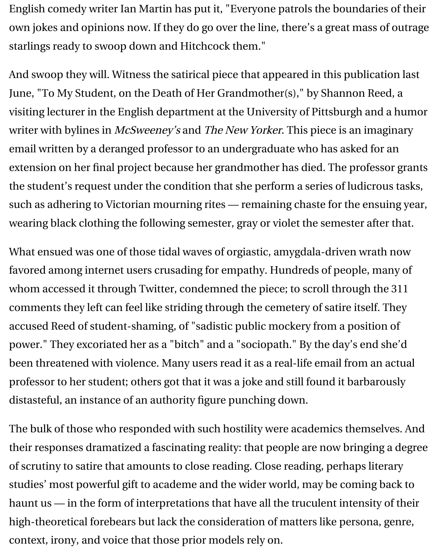June, "To My Student, on the Death of Her Grandmother(s)," by Shannon visiting lecturer in the English department at the University of Pittsburgh and a humor writer with bylines in McSweeney's and The New Yorker. This piece is an i email written by a deranged professor to an undergraduate who has asked extension on her final project because her grandmother has died. The pro the st[udent's request under the condition that she perform a](https://www.chronicle.com/article/To-My-Student-on-the-Death-/240353) series of ludi such as adhering to Victorian mourning rites  $-$  remaining chaste for the  $\epsilon$ wearing black clothing the following semester, gray or violet the semester

What ensued was one of those tidal waves of orgiastic, amygdala-driven w favored among internet users crusading for empathy. Hundreds of people whom accessed it through Twitter, condemned the piece; to scroll through comments they left can feel like striding through the cemetery of satire its accused Reed of student-shaming, of "sadistic public mockery from a position power." They excoriated her as a "bitch" and a "sociopath." By the day's end she been threatened with violence. Many users read it as a real-life email from professor to her student; others got that it was a joke and still found it barb distasteful, an instance of an authority figure punching down.

The bulk of those who responded with such hostility were academics then their responses dramatized a fascinating reality: that people are now bring of scrutiny to satire that amounts to close reading. Close reading, perhaps studies' most powerful gift to academe and the wider world, may be coming haunt us  $-$  in the form of interpretations that have all the truculent intensity high-theoretical forebears but lack the consideration of matters like perso context, irony, and voice that those prior models rely on.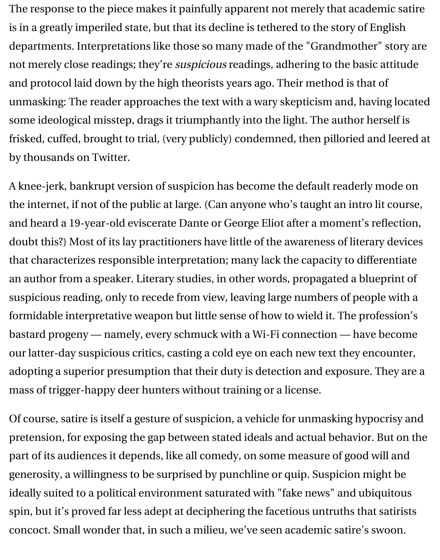The response to the piece makes it painfully apparent not merely that academic satire is in a greatly imperiled state, but that its decline is tethered to the story of English departments. Interpretations like those so many made of the "Grandmother" story are not merely close readings; they're suspicious readings, adhering to the basic attitude and protocol laid down by the high theorists years ago. Their method is that of unmasking: The reader approaches the text with a wary skepticism and, having located some ideological misstep, drags it triumphantly into the light. The author herself is frisked, cuffed, brought to trial, (very publicly) condemned, then pilloried and leered at by thousands on Twitter.

A knee-jerk, bankrupt version of suspicion has become the default readerly mode on the internet, if not of the public at large. (Can anyone who's taught an intro lit course, and heard a 19-year-old eviscerate Dante or George Eliot after a moment's reflection, doubt this?) Most of its lay practitioners have little of the awareness of literary devices that characterizes responsible interpretation; many lack the capacity to differentiate an author from a speaker. Literary studies, in other words, propagated a blueprint of suspicious reading, only to recede from view, leaving large numbers of people with a formidable interpretative weapon but little sense of how to wield it. The profession's bastard progeny — namely, every schmuck with a Wi-Fi connection — have become our latter-day suspicious critics, casting a cold eye on each new text they encounter, adopting a superior presumption that their duty is detection and exposure. They are a mass of trigger-happy deer hunters without training or a license.

Of course, satire is itself a gesture of suspicion, a vehicle for unmasking hypocrisy and pretension, for exposing the gap between stated ideals and actual behavior. But on the part of its audiences it depends, like all comedy, on some measure of good will and generosity, a willingness to be surprised by punchline or quip. Suspicion might be ideally suited to a political environment saturated with "fake news" and ubiquitous spin, but it's proved far less adept at deciphering the facetious untruths that satirists concoct. Small wonder that, in such a milieu, we've seen academic satire's swoon.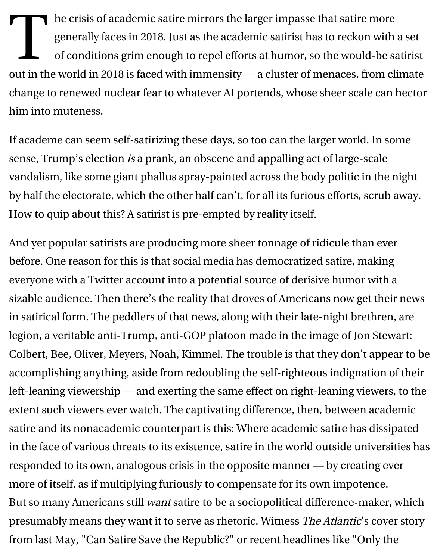change to renewed nuclear fear to whatever AI portends, whose sheer scal him into muteness.

If academe can seem self-satirizing these days, so too can the larger world sense, Trump's election is a prank, an obscene and appalling act of large-s vandalism, like some giant phallus spray-painted across the body politic in by half the electorate, which the other half can't, for all its furious efforts, s How to quip about this? A satirist is pre-empted by reality itself.

And yet popular satirists are producing more sheer tonnage of ridicule tha before. One reason for this is that social media has democratized satire, m everyone with a Twitter account into a potential source of derisive humor sizable audience. Then there's the reality that droves of Americans now get in satirical form. The peddlers of that news, along with their late-night bre legion, a veritable anti-Trump, anti-GOP platoon made in the image of Jor Colbert, Bee, Oliver, Meyers, Noah, Kimmel. The trouble is that they don't accomplishing anything, aside from redoubling the self-righteous indigna left-leaning viewership — and exerting the same effect on right-leaning viewers, the same steps in the same of extent such viewers ever watch. The captivating difference, then, between satire and its nonacademic counterpart is this: Where academic satire has in the face of various threats to its existence, satire in the world outside un responded to its own, analogous crisis in the opposite manner - by creat: more of itself, as if multiplying furiously to compensate for its own impote But so many Americans still want satire to be a sociopolitical difference-m presumably means they want it to serve as rhetoric. Witness The Atlantic's from last May, "Can Satire Save the Republic?" or recent headlines like "O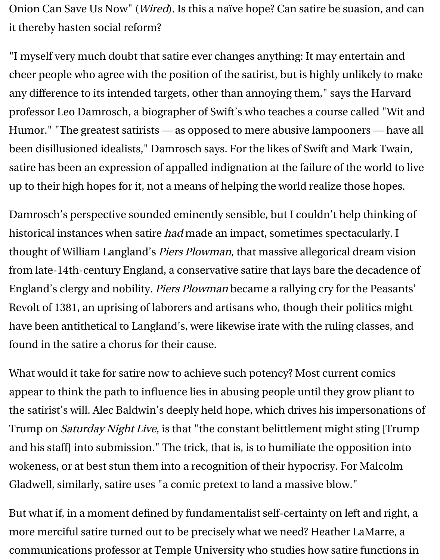any difference to its intended targets, other than annoying them," says the professor Leo Damrosch, a biographer of Swift's who teaches a course call Humor." "The greatest satirists — as opposed to mere abusive lampooner been disillusioned idealists," Damrosch says. For the likes of Swift and Ma satire has been an expression of appalled indignation at the failure of the w up to their high hopes for it, not a means of helping the world realize those

Damrosch's perspective sounded eminently sensible, but I couldn't help t historical instances when satire had made an impact, sometimes spectacular thought of William Langland's Piers Plowman, that massive allegorical dream from late-14th-century England, a conservative satire that lays bare the de England's clergy and nobility. Piers Plowman became a rallying cry for the Revolt of 1381, an uprising of laborers and artisans who, though their polit have been antithetical to Langland's, were likewise irate with the ruling classes found in the satire a chorus for their cause.

What would it take for satire now to achieve such potency? Most current c appear to think the path to influence lies in abusing people until they grow the satirist's will. Alec Baldwin's deeply held hope, which drives his imper Trump on Saturday Night Live, is that "the constant belittlement might sti and his staff] into submission." The trick, that is, is to humiliate the oppos wokeness, or at best stun them into a recognition of their hypocrisy. For M Gladwell, similarly, satire uses "a comic pretext to land a massive blow."

But what if, in a moment defined by fundamentalist self-certainty on left and right more merciful satire turned out to be precisely what we need? Heather LaI communications professor at Temple University who studies how satire functions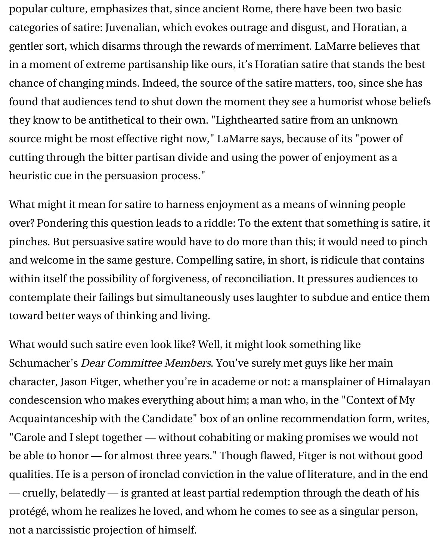popular culture, emphasizes that, since ancient Rome, there have been two basic categories of satire: Juvenalian, which evokes outrage and disgust, and Horatian, a gentler sort, which disarms through the rewards of merriment. LaMarre believes that in a moment of extreme partisanship like ours, it's Horatian satire that stands the best chance of changing minds. Indeed, the source of the satire matters, too, since she has found that audiences tend to shut down the moment they see a humorist whose beliefs they know to be antithetical to their own. "Lighthearted satire from an unknown source might be most effective right now," LaMarre says, because of its "power of cutting through the bitter partisan divide and using the power of enjoyment as a heuristic cue in the persuasion process."

What might it mean for satire to harness enjoyment as a means of winning people over? Pondering this question leads to a riddle: To the extent that something is satire, it pinches. But persuasive satire would have to do more than this; it would need to pinch and welcome in the same gesture. Compelling satire, in short, is ridicule that contains within itself the possibility of forgiveness, of reconciliation. It pressures audiences to contemplate their failings but simultaneously uses laughter to subdue and entice them toward better ways of thinking and living.

What would such satire even look like? Well, it might look something like Schumacher's Dear Committee Members. You've surely met guys like her main character, Jason Fitger, whether you're in academe or not: a mansplainer of Himalayan condescension who makes everything about him; a man who, in the "Context of My Acquaintanceship with the Candidate" box of an online recommendation form, writes, "Carole and I slept together — without cohabiting or making promises we would not be able to honor — for almost three years." Though flawed, Fitger is not without good qualities. He is a person of ironclad conviction in the value of literature, and in the end — cruelly, belatedly — is granted at least partial redemption through the death of his protégé, whom he realizes he loved, and whom he comes to see as a singular person, not a narcissistic projection of himself.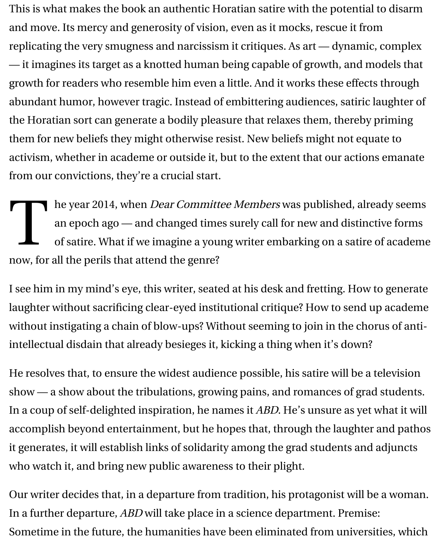This is what makes the book an authentic Horatian satire with the potential to disarm and move. Its mercy and generosity of vision, even as it mocks, rescue it from replicating the very smugness and narcissism it critiques. As art — dynamic, complex — it imagines its target as a knotted human being capable of growth, and models that growth for readers who resemble him even a little. And it works these effects through abundant humor, however tragic. Instead of embittering audiences, satiric laughter of the Horatian sort can generate a bodily pleasure that relaxes them, thereby priming them for new beliefs they might otherwise resist. New beliefs might not equate to activism, whether in academe or outside it, but to the extent that our actions emanate from our convictions, they're a crucial start.

T he year 2014, when *Dear Committee Members* was published, already seems an epoch ago — and changed times surely call for new and distinctive forms of satire. What if we imagine a young writer embarking on a satire of academe now, for all the perils that attend the genre?

I see him in my mind's eye, this writer, seated at his desk and fretting. How to generate laughter without sacrificing clear-eyed institutional critique? How to send up academe without instigating a chain of blow-ups? Without seeming to join in the chorus of antiintellectual disdain that already besieges it, kicking a thing when it's down?

He resolves that, to ensure the widest audience possible, his satire will be a television show — a show about the tribulations, growing pains, and romances of grad students. In a coup of self-delighted inspiration, he names it ABD. He's unsure as yet what it will accomplish beyond entertainment, but he hopes that, through the laughter and pathos it generates, it will establish links of solidarity among the grad students and adjuncts who watch it, and bring new public awareness to their plight.

Our writer decides that, in a departure from tradition, his protagonist will be a woman. In a further departure, ABD will take place in a science department. Premise: Sometime in the future, the humanities have been eliminated from universities, which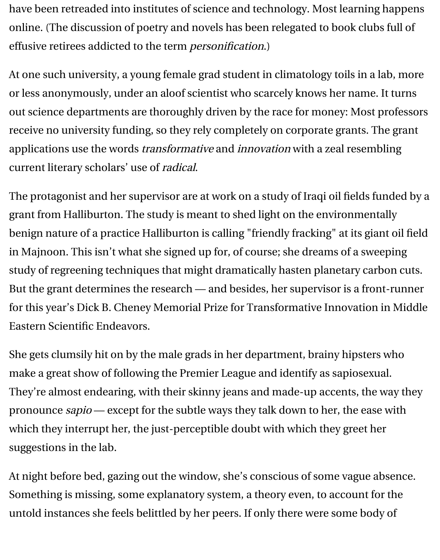have been retreaded into institutes of science and technology. Most learning happens online. (The discussion of poetry and novels has been relegated to book clubs full of effusive retirees addicted to the term personification.)

At one such university, a young female grad student in climatology toils in a lab, more or less anonymously, under an aloof scientist who scarcely knows her name. It turns out science departments are thoroughly driven by the race for money: Most professors receive no university funding, so they rely completely on corporate grants. The grant applications use the words *transformative* and *innovation* with a zeal resembling current literary scholars' use of radical.

The protagonist and her supervisor are at work on a study of Iraqi oil fields funded by a grant from Halliburton. The study is meant to shed light on the environmentally benign nature of a practice Halliburton is calling "friendly fracking" at its giant oil field in Majnoon. This isn't what she signed up for, of course; she dreams of a sweeping study of regreening techniques that might dramatically hasten planetary carbon cuts. But the grant determines the research — and besides, her supervisor is a front-runner for this year's Dick B. Cheney Memorial Prize for Transformative Innovation in Middle Eastern Scientific Endeavors.

She gets clumsily hit on by the male grads in her department, brainy hipsters who make a great show of following the Premier League and identify as sapiosexual. They're almost endearing, with their skinny jeans and made-up accents, the way they pronounce sapio — except for the subtle ways they talk down to her, the ease with which they interrupt her, the just-perceptible doubt with which they greet her suggestions in the lab.

At night before bed, gazing out the window, she's conscious of some vague absence. Something is missing, some explanatory system, a theory even, to account for the untold instances she feels belittled by her peers. If only there were some body of